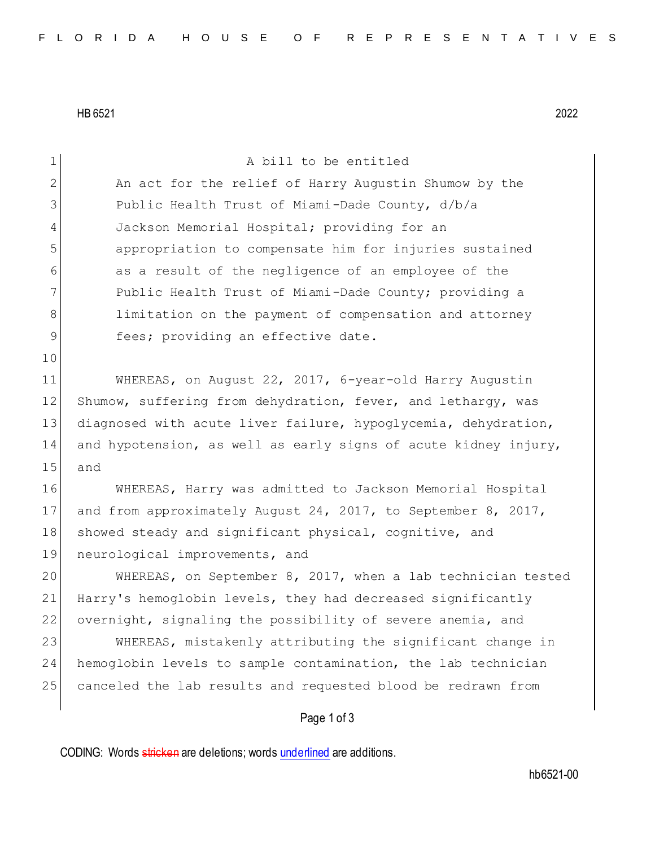HB 6521 2022

| $\mathbf 1$ | A bill to be entitled                                           |
|-------------|-----------------------------------------------------------------|
| 2           | An act for the relief of Harry Augustin Shumow by the           |
| 3           | Public Health Trust of Miami-Dade County, d/b/a                 |
| 4           | Jackson Memorial Hospital; providing for an                     |
| 5           | appropriation to compensate him for injuries sustained          |
| 6           | as a result of the negligence of an employee of the             |
| 7           | Public Health Trust of Miami-Dade County; providing a           |
| 8           | limitation on the payment of compensation and attorney          |
| 9           | fees; providing an effective date.                              |
| 10          |                                                                 |
| 11          | WHEREAS, on August 22, 2017, 6-year-old Harry Augustin          |
| 12          | Shumow, suffering from dehydration, fever, and lethargy, was    |
| 13          | diagnosed with acute liver failure, hypoglycemia, dehydration,  |
| 14          | and hypotension, as well as early signs of acute kidney injury, |
| 15          | and                                                             |
| 16          | WHEREAS, Harry was admitted to Jackson Memorial Hospital        |
| 17          | and from approximately August 24, 2017, to September 8, 2017,   |
| 18          | showed steady and significant physical, cognitive, and          |
| 19          | neurological improvements, and                                  |
| 20          | WHEREAS, on September 8, 2017, when a lab technician tested     |
| 21          | Harry's hemoglobin levels, they had decreased significantly     |
| 22          | overnight, signaling the possibility of severe anemia, and      |
| 23          | WHEREAS, mistakenly attributing the significant change in       |
| 24          | hemoglobin levels to sample contamination, the lab technician   |
| 25          | canceled the lab results and requested blood be redrawn from    |
|             | Page 1 of 3                                                     |

CODING: Words stricken are deletions; words underlined are additions.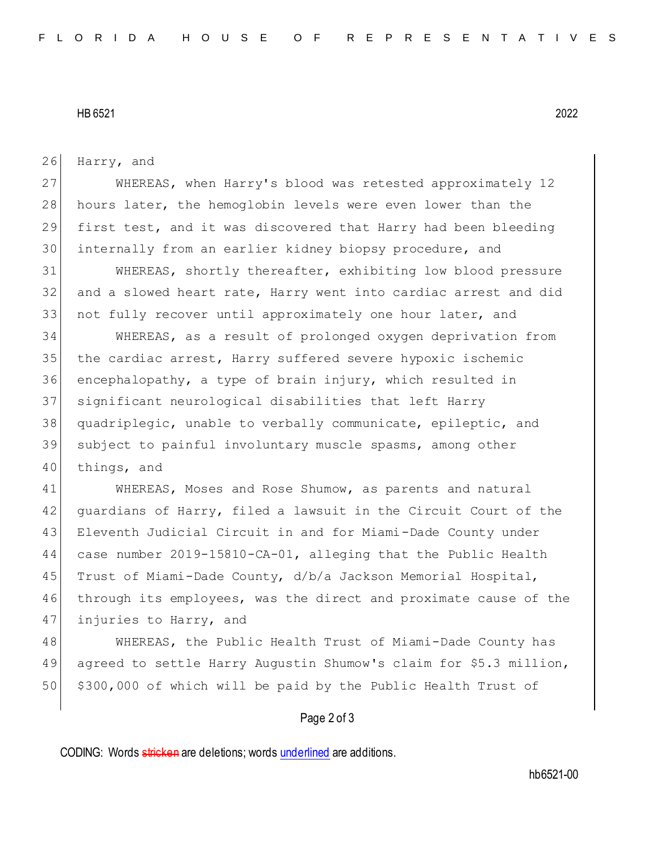## HB 6521 2022

26 Harry, and

 WHEREAS, when Harry's blood was retested approximately 12 28 hours later, the hemoglobin levels were even lower than the first test, and it was discovered that Harry had been bleeding internally from an earlier kidney biopsy procedure, and

31 WHEREAS, shortly thereafter, exhibiting low blood pressure 32 and a slowed heart rate, Harry went into cardiac arrest and did 33 not fully recover until approximately one hour later, and

 WHEREAS, as a result of prolonged oxygen deprivation from 35 the cardiac arrest, Harry suffered severe hypoxic ischemic encephalopathy, a type of brain injury, which resulted in significant neurological disabilities that left Harry quadriplegic, unable to verbally communicate, epileptic, and subject to painful involuntary muscle spasms, among other 40 things, and

41 WHEREAS, Moses and Rose Shumow, as parents and natural 42 guardians of Harry, filed a lawsuit in the Circuit Court of the 43 Eleventh Judicial Circuit in and for Miami-Dade County under 44 case number 2019-15810-CA-01, alleging that the Public Health 45 Trust of Miami-Dade County, d/b/a Jackson Memorial Hospital, 46 through its employees, was the direct and proximate cause of the 47 injuries to Harry, and

48 WHEREAS, the Public Health Trust of Miami-Dade County has 49 agreed to settle Harry Augustin Shumow's claim for \$5.3 million, 50 \$300,000 of which will be paid by the Public Health Trust of

## Page 2 of 3

CODING: Words stricken are deletions; words underlined are additions.